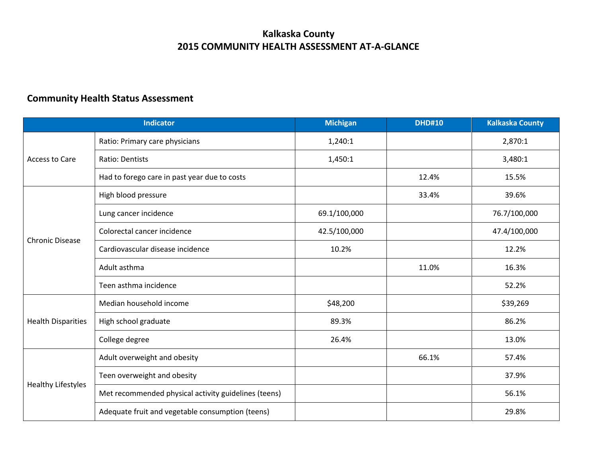## **Kalkaska County 2015 COMMUNITY HEALTH ASSESSMENT AT-A-GLANCE**

## **Community Health Status Assessment**

| <b>Indicator</b>          |                                                      | <b>Michigan</b> | <b>DHD#10</b> | <b>Kalkaska County</b> |
|---------------------------|------------------------------------------------------|-----------------|---------------|------------------------|
| <b>Access to Care</b>     | Ratio: Primary care physicians                       | 1,240:1         |               | 2,870:1                |
|                           | <b>Ratio: Dentists</b>                               | 1,450:1         |               | 3,480:1                |
|                           | Had to forego care in past year due to costs         |                 | 12.4%         | 15.5%                  |
| <b>Chronic Disease</b>    | High blood pressure                                  |                 | 33.4%         | 39.6%                  |
|                           | Lung cancer incidence                                | 69.1/100,000    |               | 76.7/100,000           |
|                           | Colorectal cancer incidence                          | 42.5/100,000    |               | 47.4/100,000           |
|                           | Cardiovascular disease incidence                     | 10.2%           |               | 12.2%                  |
|                           | Adult asthma                                         |                 | 11.0%         | 16.3%                  |
|                           | Teen asthma incidence                                |                 |               | 52.2%                  |
| <b>Health Disparities</b> | Median household income                              | \$48,200        |               | \$39,269               |
|                           | High school graduate                                 | 89.3%           |               | 86.2%                  |
|                           | College degree                                       | 26.4%           |               | 13.0%                  |
| <b>Healthy Lifestyles</b> | Adult overweight and obesity                         |                 | 66.1%         | 57.4%                  |
|                           | Teen overweight and obesity                          |                 |               | 37.9%                  |
|                           | Met recommended physical activity guidelines (teens) |                 |               | 56.1%                  |
|                           | Adequate fruit and vegetable consumption (teens)     |                 |               | 29.8%                  |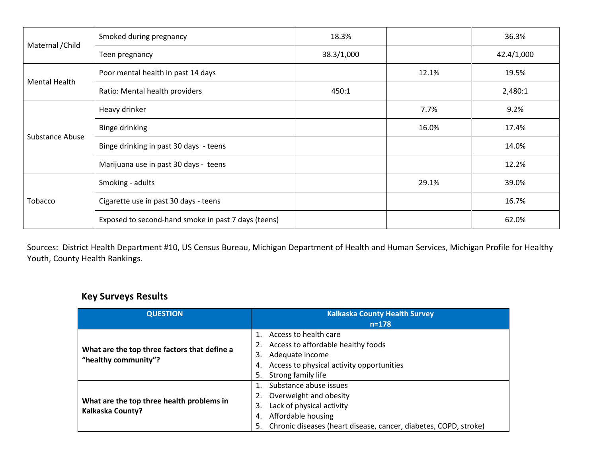| Maternal / Child | Smoked during pregnancy                             | 18.3%      |       | 36.3%      |
|------------------|-----------------------------------------------------|------------|-------|------------|
|                  | Teen pregnancy                                      | 38.3/1,000 |       | 42.4/1,000 |
| Mental Health    | Poor mental health in past 14 days                  |            | 12.1% | 19.5%      |
|                  | Ratio: Mental health providers                      | 450:1      |       | 2,480:1    |
| Substance Abuse  | Heavy drinker                                       |            | 7.7%  | 9.2%       |
|                  | Binge drinking                                      |            | 16.0% | 17.4%      |
|                  | Binge drinking in past 30 days - teens              |            |       | 14.0%      |
|                  | Marijuana use in past 30 days - teens               |            |       | 12.2%      |
| Tobacco          | Smoking - adults                                    |            | 29.1% | 39.0%      |
|                  | Cigarette use in past 30 days - teens               |            |       | 16.7%      |
|                  | Exposed to second-hand smoke in past 7 days (teens) |            |       | 62.0%      |

Sources: District Health Department #10, US Census Bureau, Michigan Department of Health and Human Services, Michigan Profile for Healthy Youth, County Health Rankings.

## **Key Surveys Results**

| <b>QUESTION</b>                                                      | <b>Kalkaska County Health Survey</b>                                   |  |  |
|----------------------------------------------------------------------|------------------------------------------------------------------------|--|--|
|                                                                      | $n = 178$                                                              |  |  |
|                                                                      | Access to health care                                                  |  |  |
| What are the top three factors that define a                         | Access to affordable healthy foods                                     |  |  |
| "healthy community"?                                                 | Adequate income<br>3.                                                  |  |  |
|                                                                      | Access to physical activity opportunities<br>4.                        |  |  |
|                                                                      | Strong family life<br>5.                                               |  |  |
|                                                                      | Substance abuse issues                                                 |  |  |
|                                                                      | Overweight and obesity                                                 |  |  |
| What are the top three health problems in<br><b>Kalkaska County?</b> | Lack of physical activity<br>3.                                        |  |  |
|                                                                      | Affordable housing<br>4.                                               |  |  |
|                                                                      | Chronic diseases (heart disease, cancer, diabetes, COPD, stroke)<br>5. |  |  |